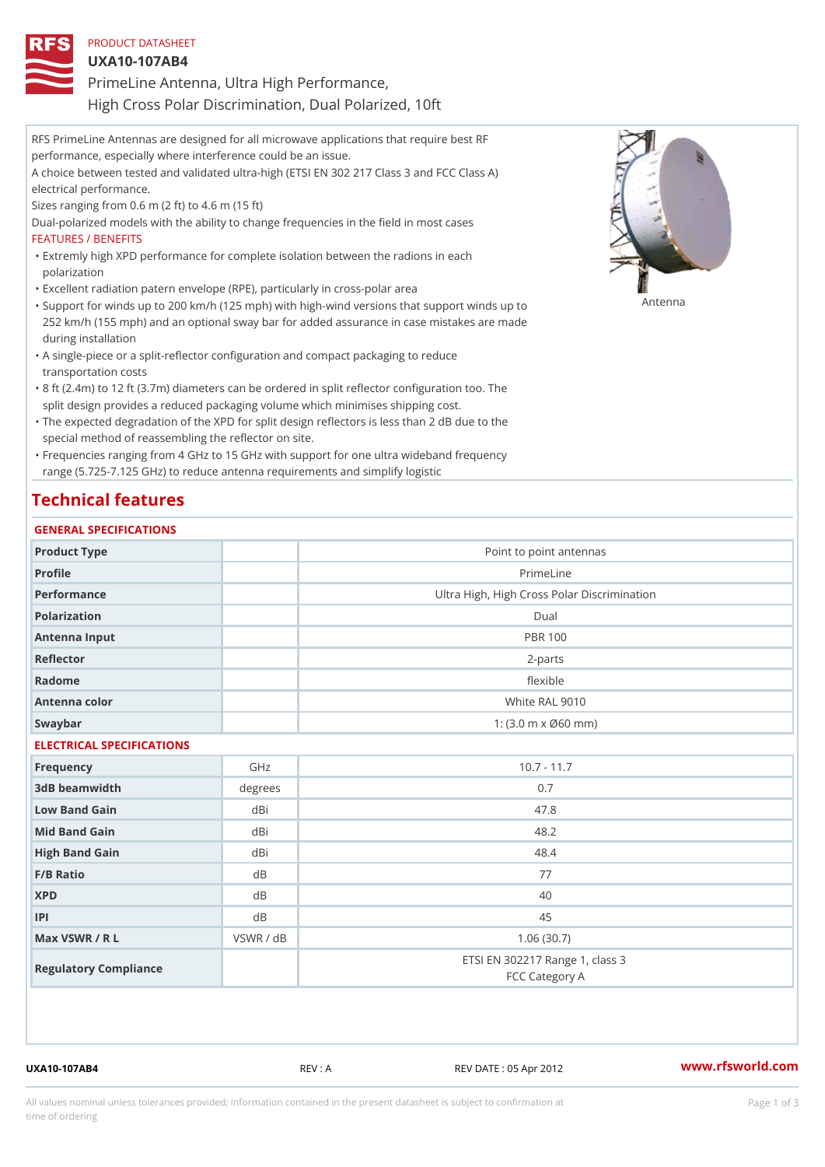UXA10-107AB4

PrimeLine Antenna, Ultra High Performance,

High Cross Polar Discrimination, Dual Polarized, 10ft

RFS PrimeLine Antennas are designed for all microwave applications that require best RF performance, especially where interference could be an issue. A choice between tested and validated ultra-high (ETSI EN 302 217 Class 3 and FCC Class A) electrical performance. Sizes ranging from 0.6 m (2 ft) to 4.6 m (15 ft) Dual-polarized models with the ability to change frequencies in the field in most cases FEATURES / BENEFITS Extremly high XPD performance for complete isolation between the radions in each " polarization "Excellent radiation patern envelope (RPE), particularly in cross-polar area "Support for winds up to 200 km/h (125 mph) with high-wind versions that support for wands up to 252 km/h (155 mph) and an optional sway bar for added assurance in case mistakes are made during installation A single-piece or a split-reflector configuration and compact packaging to reduce " transportation costs 8 ft (2.4m) to 12 ft (3.7m) diameters can be ordered in split reflector configuration too. The " split design provides a reduced packaging volume which minimises shipping cost.

"The expected degradation of the XPD for split design reflectors is less than 2 dB due to the special method of reassembling the reflector on site.

Frequencies ranging from 4 GHz to 15 GHz with support for one ultra wideband frequency " range (5.725-7.125 GHz) to reduce antenna requirements and simplify logistic

## Technical features

### GENERAL SPECIFICATIONS

| Product Type              |           | Point to point antennas                                 |  |  |  |
|---------------------------|-----------|---------------------------------------------------------|--|--|--|
| Profile                   |           | PrimeLine                                               |  |  |  |
| Performance               |           | Ultra High, High Cross Polar Discrimination             |  |  |  |
| Polarization              |           | Dual                                                    |  |  |  |
| Antenna Input             |           | <b>PBR 100</b>                                          |  |  |  |
| Reflector                 |           | $2 - p$ arts                                            |  |  |  |
| Radome                    |           | flexible                                                |  |  |  |
| Antenna color             |           | White RAL 9010                                          |  |  |  |
| Swaybar                   |           | 1: $(3.0 \, \text{m} \times \emptyset 60 \, \text{mm})$ |  |  |  |
| ELECTRICAL SPECIFICATIONS |           |                                                         |  |  |  |
| Frequency                 | GHz       | $10.7 - 11.7$                                           |  |  |  |
| 3dB beamwidth             | degrees   | 0.7                                                     |  |  |  |
| Low Band Gain             | $dB$ i    | 47.8                                                    |  |  |  |
| Mid Band Gain             | dBi       | 48.2                                                    |  |  |  |
| High Band Gain            | dBi       | 48.4                                                    |  |  |  |
| F/B Ratio                 | d B       | 77                                                      |  |  |  |
| <b>XPD</b>                | d B       | 40                                                      |  |  |  |
| P                         | d B       | 45                                                      |  |  |  |
| Max VSWR / R L            | VSWR / dB | 1.06(30.7)                                              |  |  |  |
| Regulatory Compliance     |           | ETSI EN 302217 Range 1, class 3<br>FCC Category A       |  |  |  |

UXA10-107AB4 REV : A REV DATE : 05 Apr 2012 [www.](https://www.rfsworld.com)rfsworld.com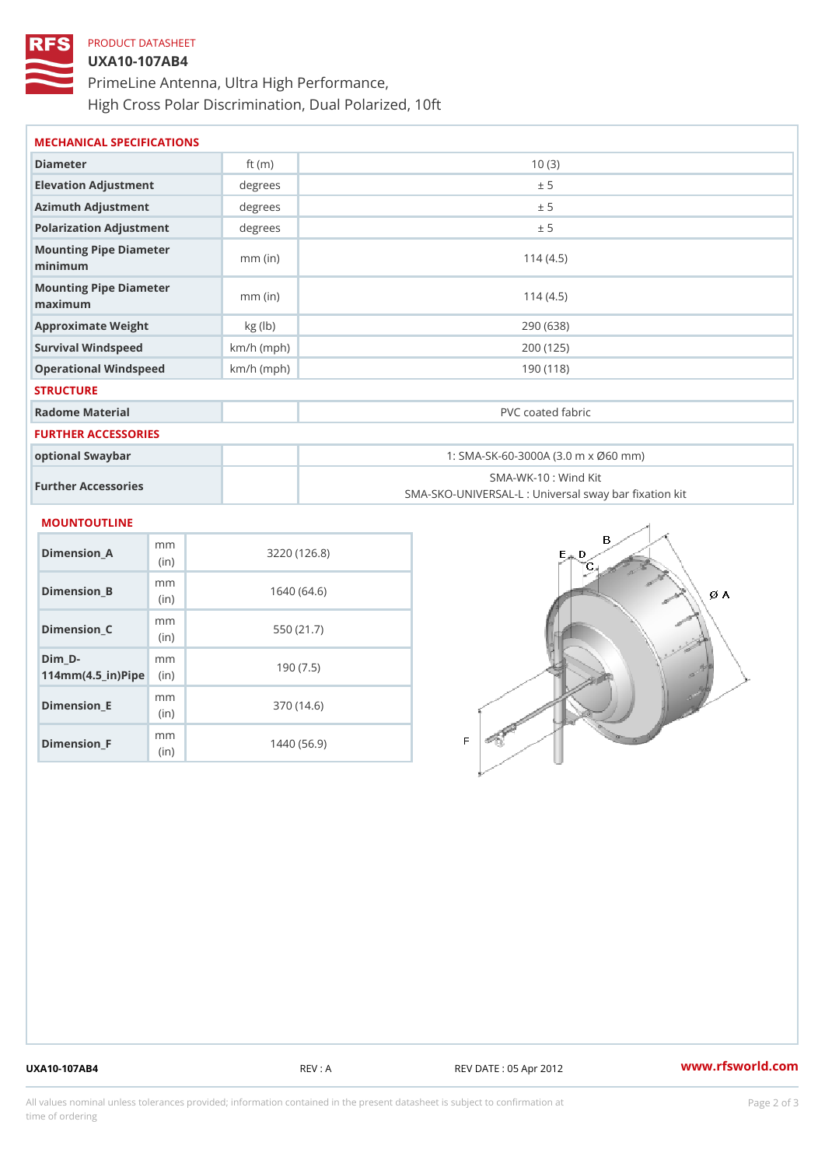# PRODUCT DATASHEET UXA10-107AB4 PrimeLine Antenna, Ultra High Performance, High Cross Polar Discrimination, Dual Polarized, 10ft

| MECHANICAL SPECIFICATIONS             |              |                                                   |  |  |  |
|---------------------------------------|--------------|---------------------------------------------------|--|--|--|
| Diameter                              | ft $(m)$     | 10(3)                                             |  |  |  |
| Elevation Adjustment                  | degree:      | ± 5                                               |  |  |  |
| Azimuth Adjustment                    | degrees      | ± 5                                               |  |  |  |
| Polarization Adjustment               | $degree$ :   | ± 5                                               |  |  |  |
| Mounting Pipe Diameter<br>minima      | $mm$ (in)    | 114(4.5)                                          |  |  |  |
| Mounting Pipe Diameter<br>maximum     | $mm$ (in)    | 114(4.5)                                          |  |  |  |
| Approximate Weight                    | kg (lb)      | 290 (638)                                         |  |  |  |
| Survival Windspeed                    | $km/h$ (mph) | 200 (125)                                         |  |  |  |
| Operational Windspeed                 | $km/h$ (mph) | 190 (118)                                         |  |  |  |
| <b>STRUCTURE</b>                      |              |                                                   |  |  |  |
| Radome Material                       |              | PVC coated fabric                                 |  |  |  |
| <b>FURTHER ACCESSORIES</b>            |              |                                                   |  |  |  |
| optional Swaybar                      |              | 1: SMA-SK-60-3000A (3.0 m x Ø60 mm)               |  |  |  |
| Further Accessories                   |              | SMA-WK-10: Wind Kit                               |  |  |  |
|                                       |              | SMA-SKO-UNIVERSAL-L : Universal sway bar fixation |  |  |  |
| <b>MOUNTOUTLINE</b>                   |              |                                                   |  |  |  |
| m <sub>m</sub><br>Dimension_A<br>(in) |              | 3220(126.8)                                       |  |  |  |
| m m<br>Dimension B<br>(in)            |              | 1640(64.6)                                        |  |  |  |

|                                                                        | (i n)                    | $0.460$ (140.0) |
|------------------------------------------------------------------------|--------------------------|-----------------|
| Dimension B                                                            | m m<br>(in)              | 1640 (64.6)     |
| Dimension_C                                                            | m m<br>(i <sub>n</sub> ) | 550 (21.7)      |
| $Dim_b - D -$<br>$114$ m m (4.5 _ i r ) $\mathsf{Rip}$ in $\mathsf{P}$ | m m                      | 190(7.5)        |
| Dimension_E                                                            | m m<br>(i <sub>n</sub> ) | 370 (14.6)      |
| $Dimension$ $F$                                                        | m m<br>(in               | 1440 (56.9)     |

UXA10-107AB4 REV : A REV DATE : 05 Apr 2012 [www.](https://www.rfsworld.com)rfsworld.com